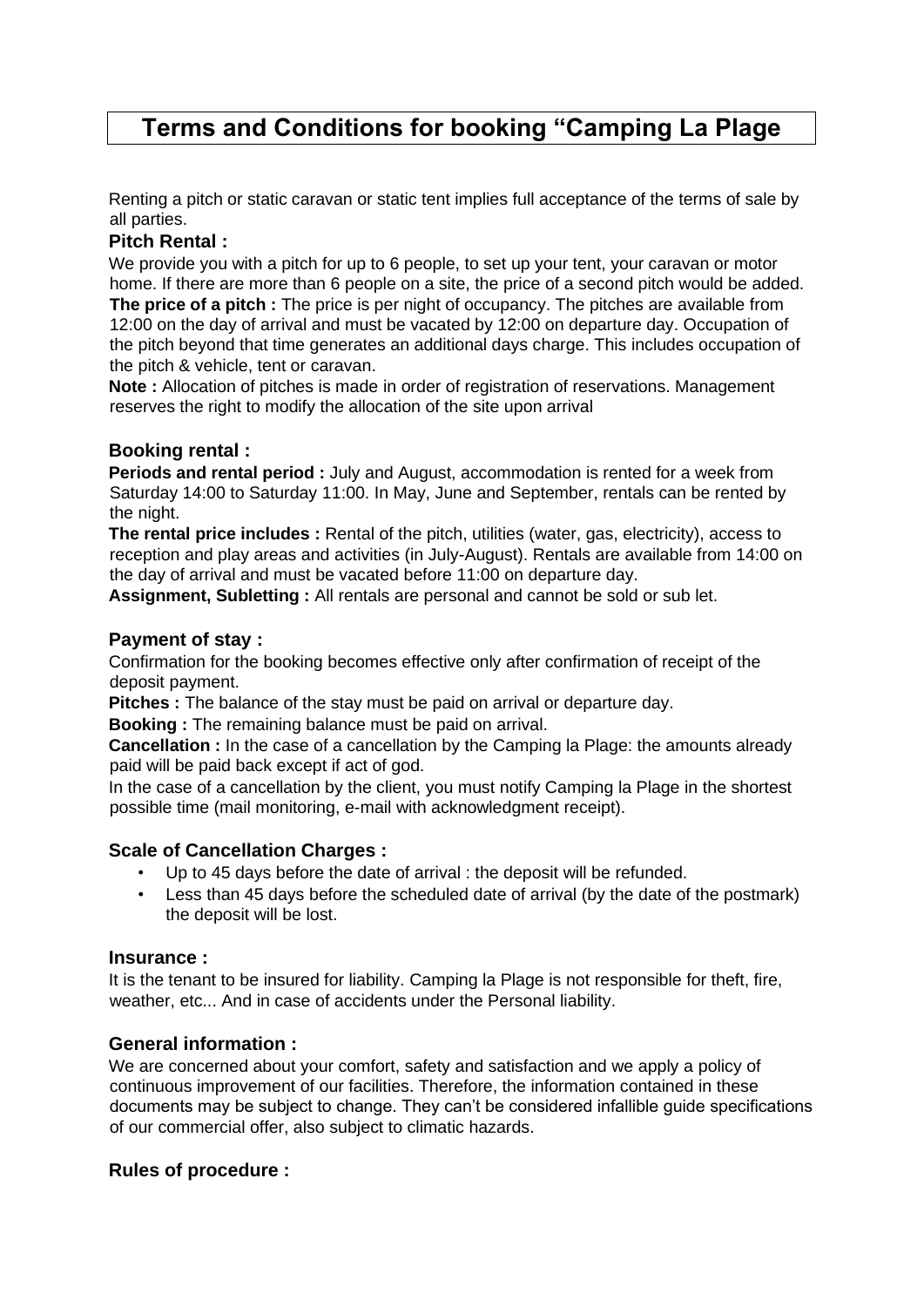# **Terms and Conditions for booking "Camping La Plage**

Renting a pitch or static caravan or static tent implies full acceptance of the terms of sale by all parties.

# **Pitch Rental :**

We provide you with a pitch for up to 6 people, to set up your tent, your caravan or motor home. If there are more than 6 people on a site, the price of a second pitch would be added. **The price of a pitch :** The price is per night of occupancy. The pitches are available from 12:00 on the day of arrival and must be vacated by 12:00 on departure day. Occupation of the pitch beyond that time generates an additional days charge. This includes occupation of the pitch & vehicle, tent or caravan.

**Note :** Allocation of pitches is made in order of registration of reservations. Management reserves the right to modify the allocation of the site upon arrival

# **Booking rental :**

**Periods and rental period :** July and August, accommodation is rented for a week from Saturday 14:00 to Saturday 11:00. In May, June and September, rentals can be rented by the night.

**The rental price includes :** Rental of the pitch, utilities (water, gas, electricity), access to reception and play areas and activities (in July-August). Rentals are available from 14:00 on the day of arrival and must be vacated before 11:00 on departure day.

**Assignment, Subletting :** All rentals are personal and cannot be sold or sub let.

# **Payment of stay :**

Confirmation for the booking becomes effective only after confirmation of receipt of the deposit payment.

**Pitches :** The balance of the stay must be paid on arrival or departure day.

**Booking :** The remaining balance must be paid on arrival.

**Cancellation :** In the case of a cancellation by the Camping la Plage: the amounts already paid will be paid back except if act of god.

In the case of a cancellation by the client, you must notify Camping la Plage in the shortest possible time (mail monitoring, e-mail with acknowledgment receipt).

### **Scale of Cancellation Charges :**

- Up to 45 days before the date of arrival : the deposit will be refunded.
- Less than 45 days before the scheduled date of arrival (by the date of the postmark) the deposit will be lost.

### **Insurance :**

It is the tenant to be insured for liability. Camping la Plage is not responsible for theft, fire, weather, etc... And in case of accidents under the Personal liability.

### **General information :**

We are concerned about your comfort, safety and satisfaction and we apply a policy of continuous improvement of our facilities. Therefore, the information contained in these documents may be subject to change. They can't be considered infallible guide specifications of our commercial offer, also subject to climatic hazards.

### **Rules of procedure :**